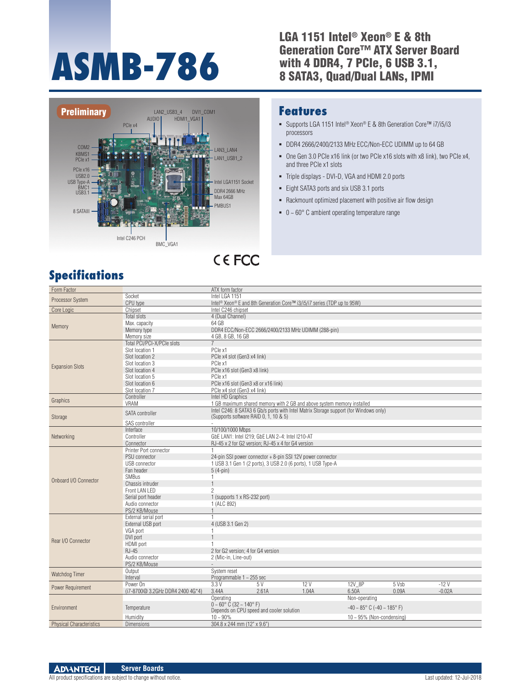# **ASMB-786**

#### LGA 1151 Intel® Xeon® E & 8th Generation Core™ ATX Server Board with 4 DDR4, 7 PCIe, 6 USB 3.1, 8 SATA3, Quad/Dual LANs, IPMI



# **CEFCC**

# **Specifications**

## **Features**

- Supports LGA 1151 Intel<sup>®</sup> Xeon® E & 8th Generation Core™ i7/i5/i3 processors
- DDR4 2666/2400/2133 MHz ECC/Non-ECC UDIMM up to 64 GB
- One Gen 3.0 PCIe x16 link (or two PCIe x16 slots with x8 link), two PCIe x4, and three PCIe x1 slots
- Triple displays DVI-D, VGA and HDMI 2.0 ports
- Eight SATA3 ports and six USB 3.1 ports
- Rackmount optimized placement with positive air flow design
- $\bullet$  0 ~ 60 $\degree$  C ambient operating temperature range

| Form Factor                     |                                  | ATX form factor                                                                                 |  |  |  |  |
|---------------------------------|----------------------------------|-------------------------------------------------------------------------------------------------|--|--|--|--|
| Processor System                | Socket                           | Intel LGA 1151                                                                                  |  |  |  |  |
|                                 | CPU type                         | Intel <sup>®</sup> Xeon <sup>®</sup> E and 8th Generation Core™ i3/i5/i7 series (TDP up to 95W) |  |  |  |  |
| Core Logic                      | Chipset                          | Intel C246 chipset                                                                              |  |  |  |  |
|                                 | <b>Total slots</b>               | 4 (Dual Channel)                                                                                |  |  |  |  |
|                                 | Max. capacity                    | 64 GB                                                                                           |  |  |  |  |
| Memory                          | Memory type                      | DDR4 ECC/Non-ECC 2666/2400/2133 MHz UDIMM (288-pin)                                             |  |  |  |  |
|                                 | Memory size                      | 4 GB, 8 GB, 16 GB                                                                               |  |  |  |  |
|                                 | Total PCI/PCI-X/PCIe slots       |                                                                                                 |  |  |  |  |
|                                 | Slot location 1                  | PCle x1                                                                                         |  |  |  |  |
| <b>Expansion Slots</b>          | Slot location 2                  | PCle x4 slot (Gen3 x4 link)                                                                     |  |  |  |  |
|                                 | Slot location 3                  | PCIe x1                                                                                         |  |  |  |  |
|                                 | Slot location 4                  | PCle x16 slot (Gen3 x8 link)                                                                    |  |  |  |  |
|                                 | Slot location 5                  | PCle x1                                                                                         |  |  |  |  |
|                                 | Slot location 6                  | PCIe x16 slot (Gen3 x8 or x16 link)                                                             |  |  |  |  |
|                                 | Slot location 7                  | PCle x4 slot (Gen3 x4 link)                                                                     |  |  |  |  |
|                                 | Controller                       | Intel HD Graphics                                                                               |  |  |  |  |
| Graphics                        | VRAM                             | 1 GB maximum shared memory with 2 GB and above system memory installed                          |  |  |  |  |
|                                 |                                  | Intel C246: 8 SATA3 6 Gb/s ports with Intel Matrix Storage support (for Windows only)           |  |  |  |  |
| Storage                         | SATA controller                  | (Supports software RAID 0, 1, 10 & 5)                                                           |  |  |  |  |
|                                 | SAS controller                   |                                                                                                 |  |  |  |  |
|                                 | Interface                        | 10/100/1000 Mbps                                                                                |  |  |  |  |
| Networking                      | Controller                       | GbE LAN1: Intel I219; GbE LAN 2~4: Intel I210-AT                                                |  |  |  |  |
|                                 | Connector                        | RJ-45 x 2 for G2 version: RJ-45 x 4 for G4 version                                              |  |  |  |  |
|                                 | Printer Port connector           | $\mathbf{1}$                                                                                    |  |  |  |  |
|                                 | <b>PSU</b> connector             | 24-pin SSI power connector + 8-pin SSI 12V power connector                                      |  |  |  |  |
|                                 | USB connector                    | 1 USB 3.1 Gen 1 (2 ports), 3 USB 2.0 (6 ports), 1 USB Type-A                                    |  |  |  |  |
|                                 | Fan header                       | $5(4-pin)$                                                                                      |  |  |  |  |
|                                 | <b>SMBus</b>                     | 1                                                                                               |  |  |  |  |
| Onboard I/O Connector           | Chassis intruder                 |                                                                                                 |  |  |  |  |
|                                 | Front LAN LFD                    | $\overline{2}$                                                                                  |  |  |  |  |
|                                 | Serial port header               | 1 (supports 1 x RS-232 port)                                                                    |  |  |  |  |
|                                 | Audio connector                  | 1 (ALC 892)                                                                                     |  |  |  |  |
|                                 | PS/2 KB/Mouse                    |                                                                                                 |  |  |  |  |
|                                 | External serial port             |                                                                                                 |  |  |  |  |
|                                 | External USB port                | 4 (USB 3.1 Gen 2)                                                                               |  |  |  |  |
|                                 | VGA port                         | $\mathbf{1}$                                                                                    |  |  |  |  |
|                                 | DVI port                         |                                                                                                 |  |  |  |  |
| Rear I/O Connector              | HDMI port                        |                                                                                                 |  |  |  |  |
|                                 | <b>RJ-45</b>                     | 2 for G2 version: 4 for G4 version                                                              |  |  |  |  |
|                                 | Audio connector                  | 2 (Mic-in, Line-out)                                                                            |  |  |  |  |
|                                 | PS/2 KB/Mouse                    |                                                                                                 |  |  |  |  |
|                                 | Output                           | System reset                                                                                    |  |  |  |  |
| Watchdog Timer                  | Interval                         | Programmable 1 ~ 255 sec                                                                        |  |  |  |  |
|                                 | Power On                         | 12V<br>12V 8P<br>$-12V$<br>3.3V<br>5 V<br>5 Vsb                                                 |  |  |  |  |
| Power Requirement               | (i7-8700@ 3.2GHz DDR4 2400 4G*4) | 3.44A<br>2.61A<br>1.04A<br>6.50A<br>0.09A<br>$-0.02A$                                           |  |  |  |  |
| Environment                     |                                  | Operating<br>Non-operating                                                                      |  |  |  |  |
|                                 |                                  | $0 - 60^{\circ}$ C (32 ~ 140°F)                                                                 |  |  |  |  |
|                                 | Temperature                      | $-40 \sim 85^{\circ}$ C ( $-40 \sim 185^{\circ}$ F)<br>Depends on CPU speed and cooler solution |  |  |  |  |
|                                 | Humidity                         | $10 - 90\%$<br>$10 \sim 95\%$ (Non-condensing)                                                  |  |  |  |  |
| <b>Physical Characteristics</b> | <b>Dimensions</b>                | 304.8 x 244 mm (12" x 9.6")                                                                     |  |  |  |  |
|                                 |                                  |                                                                                                 |  |  |  |  |

All product specifications are subject to change without notice. Last updated: 12-Jul-2018